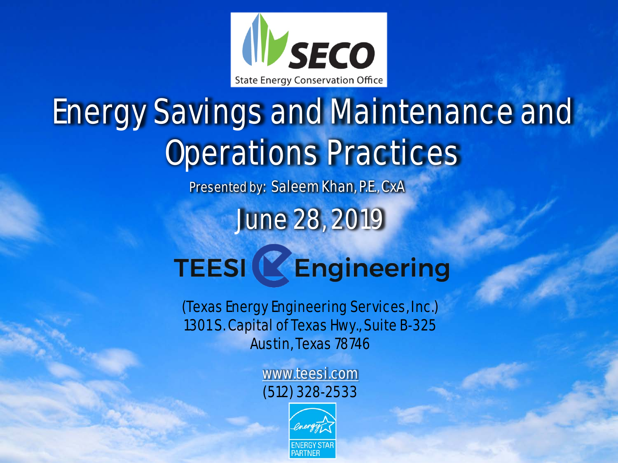

# Energy Savings and Maintenance and Operations Practices

Presented by: Saleem Khan, P.E., CxA

June 28, 2019

# **TEESI & Engineering**

(Texas Energy Engineering Services, Inc.) 1301 S. Capital of Texas Hwy., Suite B-325 Austin, Texas 78746

> [www.teesi.com](http://www.teesi.com/) (512) 328-2533

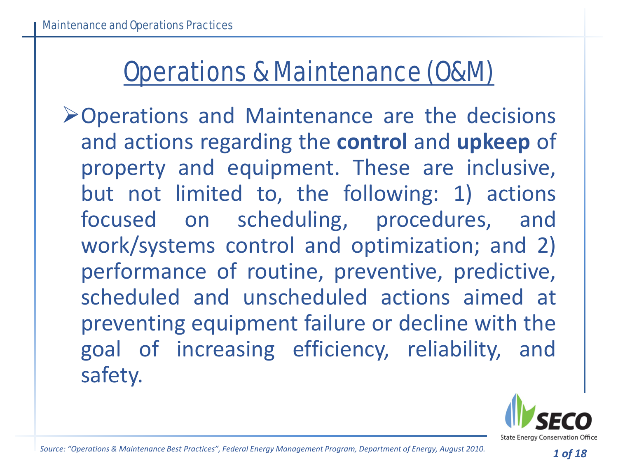#### Operations & Maintenance (O&M)

Operations and Maintenance are the decisions and actions regarding the **control** and **upkeep** of property and equipment. These are inclusive, but not limited to, the following: 1) actions focused on scheduling, procedures, and work/systems control and optimization; and 2) performance of routine, preventive, predictive, scheduled and unscheduled actions aimed at preventing equipment failure or decline with the goal of increasing efficiency, reliability, and safety.

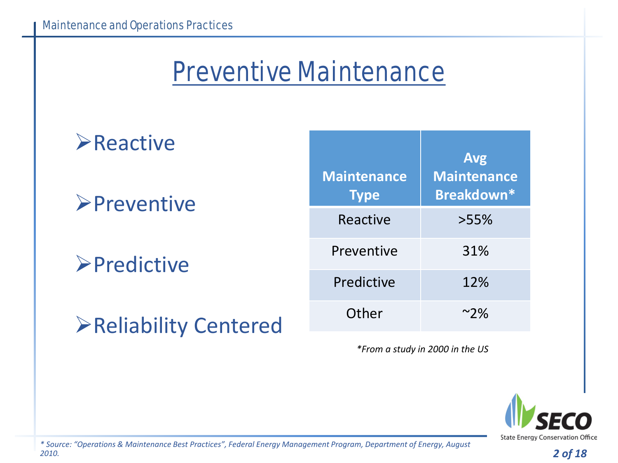#### Preventive Maintenance

#### **Exercive >Preventive >Predictive** Reliability Centered **Maintenance Type Avg Maintenance Breakdown\*** Reactive >55% Preventive 31% Predictive 12% Other ~2%

*\*From a study in 2000 in the US*

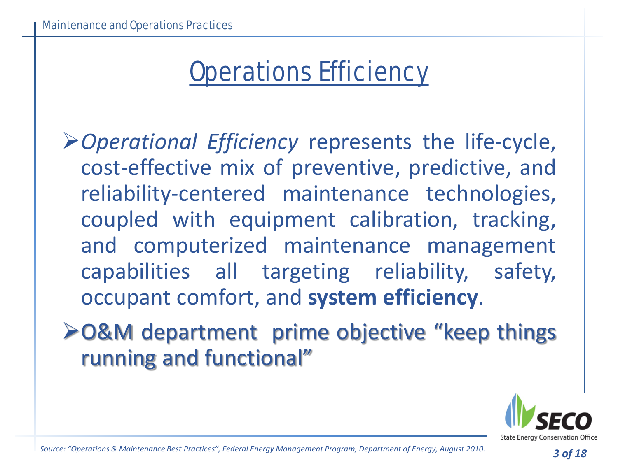#### Operations Efficiency

*Operational Efficiency* represents the life-cycle, cost-effective mix of preventive, predictive, and reliability-centered maintenance technologies, coupled with equipment calibration, tracking, and computerized maintenance management capabilities all targeting reliability, safety, occupant comfort, and **system efficiency**.

O&M department prime objective "keep things running and functional"



*Source: "Operations & Maintenance Best Practices", Federal Energy Management Program, Department of Energy, August 2010.*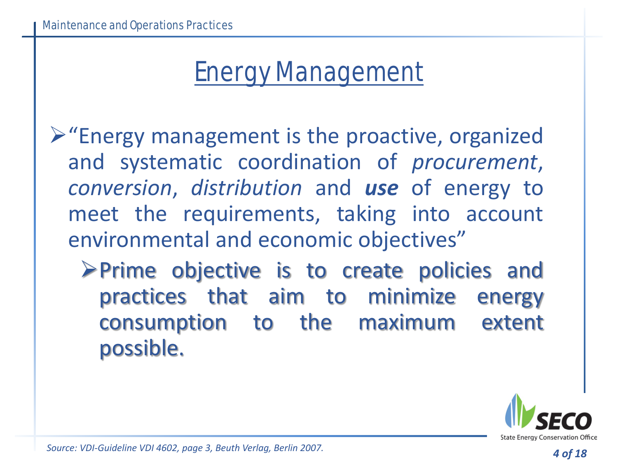#### Energy Management

 $\triangleright$  "Energy management is the proactive, organized and systematic coordination of *procurement*, *conversion*, *distribution* and *use* of energy to meet the requirements, taking into account environmental and economic objectives"

Prime objective is to create policies and practices that aim to minimize energy consumption to the maximum extent possible.



*Source: VDI-Guideline VDI 4602, page 3, Beuth Verlag, Berlin 2007.*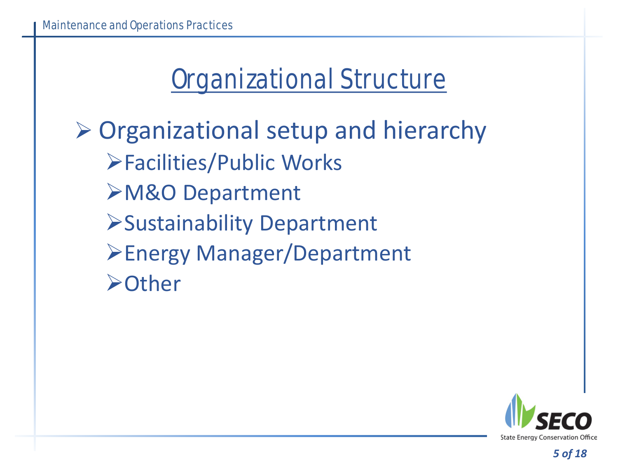#### Organizational Structure

 $\triangleright$  Organizational setup and hierarchy Facilities/Public Works M&O Department Sustainability Department **≻Energy Manager/Department ≻Other** 

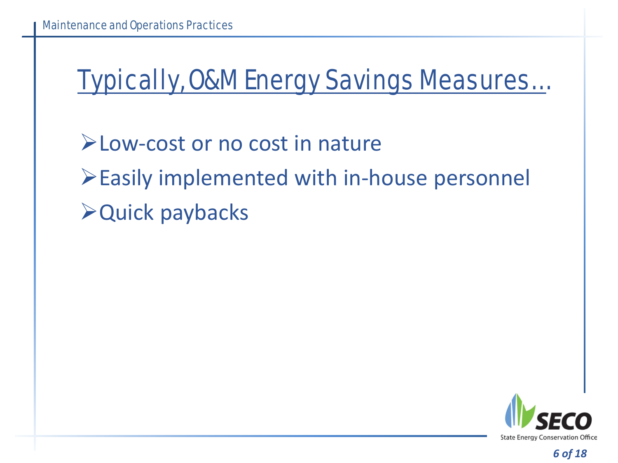#### Typically, O&M Energy Savings Measures…

Low-cost or no cost in nature Easily implemented with in-house personnel Quick paybacks

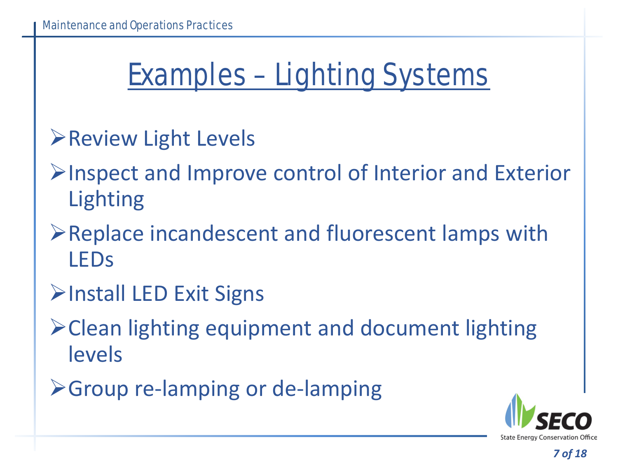## Examples – Lighting Systems

- **Review Light Levels**
- $\triangleright$  Inspect and Improve control of Interior and Exterior Lighting
- Replace incandescent and fluorescent lamps with LEDs
- **EXIT Signs**
- Clean lighting equipment and document lighting levels
- Group re-lamping or de-lamping

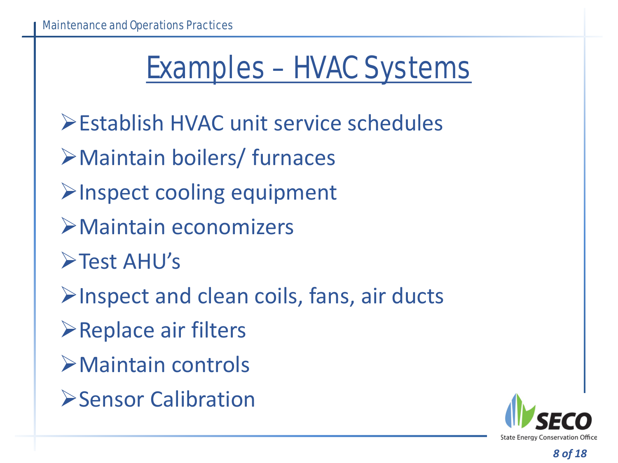# Examples – HVAC Systems

- Establish HVAC unit service schedules
- Maintain boilers/ furnaces
- $\triangleright$  Inspect cooling equipment
- Maintain economizers
- **>Test AHU's**
- $\blacktriangleright$  Inspect and clean coils, fans, air ducts
- **≻Replace air filters**
- Maintain controls
- **Sensor Calibration**

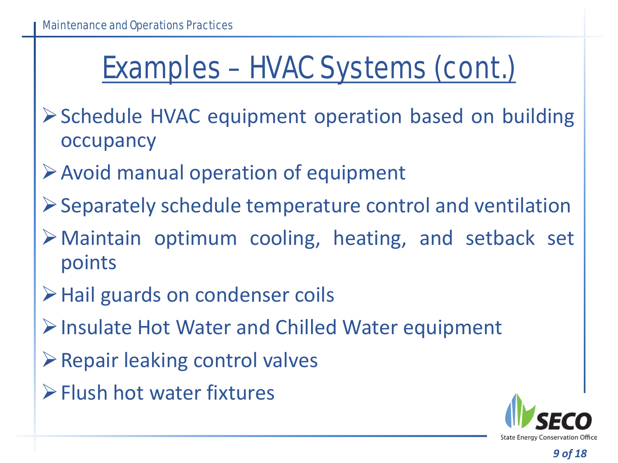# Examples – HVAC Systems (cont.)

- Schedule HVAC equipment operation based on building occupancy
- Avoid manual operation of equipment
- Separately schedule temperature control and ventilation
- Maintain optimum cooling, heating, and setback set points
- **≻Hail guards on condenser coils**
- Insulate Hot Water and Chilled Water equipment
- $\triangleright$  Repair leaking control valves
- Flush hot water fixtures

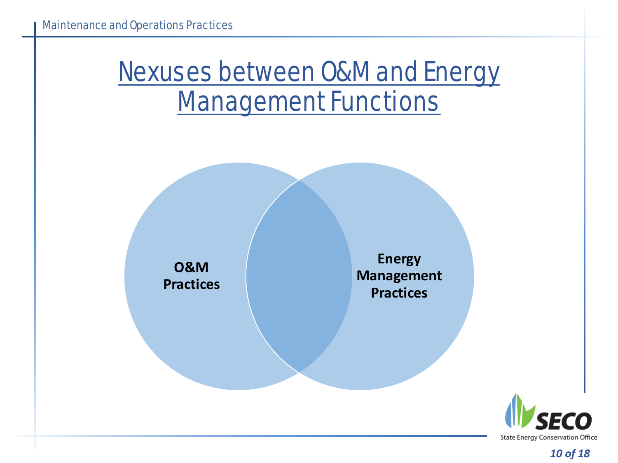#### Nexuses between O&M and Energy Management Functions

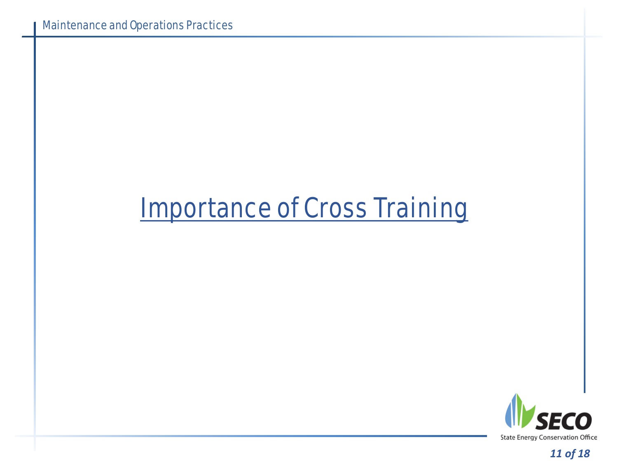#### Importance of Cross Training

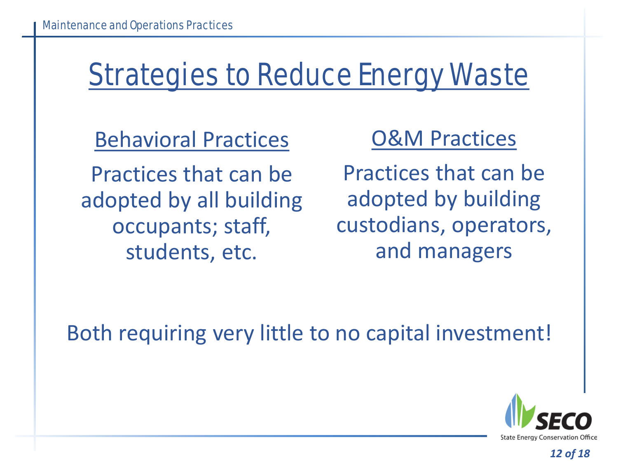# Strategies to Reduce Energy Waste

Behavioral Practices

Practices that can be adopted by all building occupants; staff, students, etc.

#### O&M Practices

Practices that can be adopted by building custodians, operators, and managers

Both requiring very little to no capital investment!

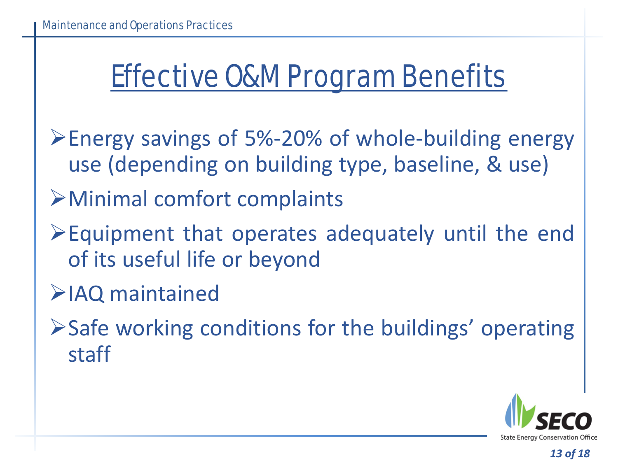### Effective O&M Program Benefits

- Energy savings of 5%-20% of whole-building energy use (depending on building type, baseline, & use)
- Minimal comfort complaints
- Equipment that operates adequately until the end of its useful life or beyond
- IAQ maintained
- Safe working conditions for the buildings' operating staff

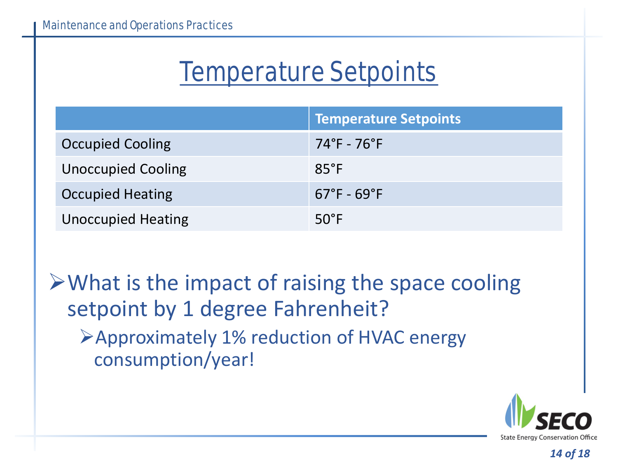#### Temperature Setpoints

|                           | <b>Temperature Setpoints</b>    |
|---------------------------|---------------------------------|
| <b>Occupied Cooling</b>   | $74^\circ$ F - 76 $^\circ$ F    |
| <b>Unoccupied Cooling</b> | $85^{\circ}F$                   |
| <b>Occupied Heating</b>   | $67^{\circ}$ F - $69^{\circ}$ F |
| <b>Unoccupied Heating</b> | $50^{\circ}$ F                  |

 $\triangleright$  What is the impact of raising the space cooling setpoint by 1 degree Fahrenheit?

Approximately 1% reduction of HVAC energy consumption/year!

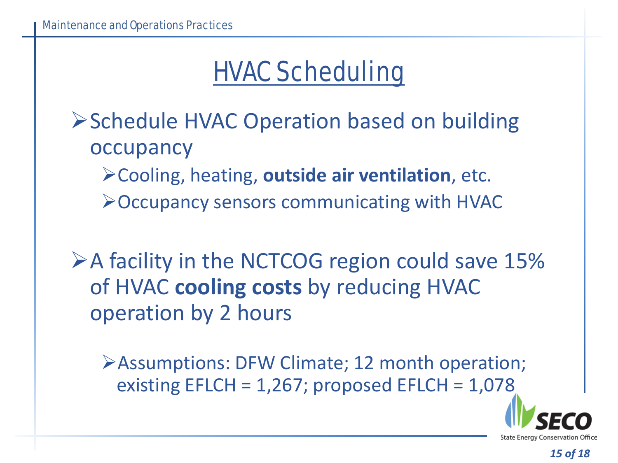#### HVAC Scheduling

- ▶ Schedule HVAC Operation based on building occupancy
	- Cooling, heating, **outside air ventilation**, etc.
	- Occupancy sensors communicating with HVAC

 $\triangleright$  A facility in the NCTCOG region could save 15% of HVAC **cooling costs** by reducing HVAC operation by 2 hours

Assumptions: DFW Climate; 12 month operation; existing  $EFLCH = 1,267$ ; proposed  $EFLCH = 1,078$ 

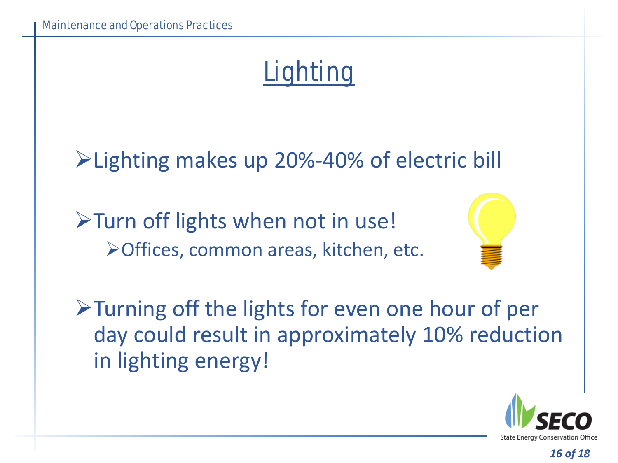#### **Lighting**

Lighting makes up 20%-40% of electric bill

Turn off lights when not in use! Offices, common areas, kitchen, etc.



Turning off the lights for even one hour of per day could result in approximately 10% reduction in lighting energy!

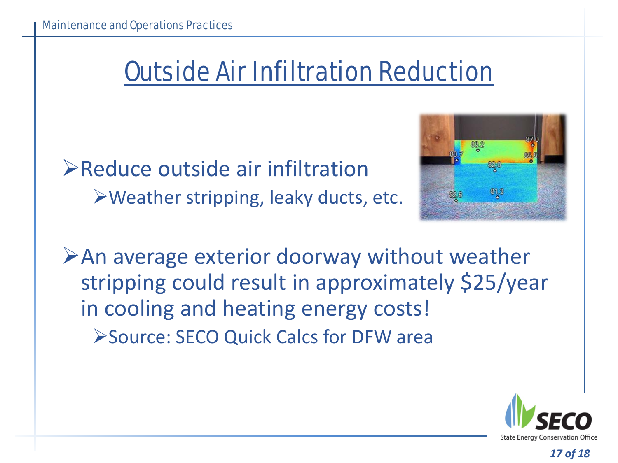#### Outside Air Infiltration Reduction

 $\triangleright$  Reduce outside air infiltration Weather stripping, leaky ducts, etc.



 $\triangleright$  An average exterior doorway without weather stripping could result in approximately \$25/year in cooling and heating energy costs! Source: SECO Quick Calcs for DFW area